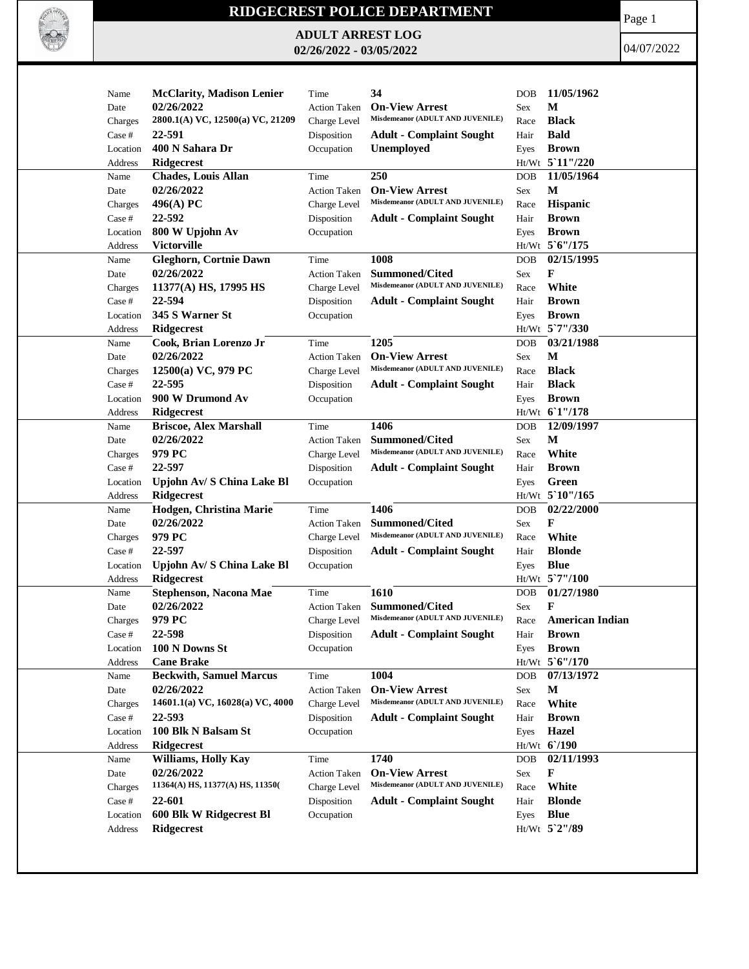

## **RIDGECREST POLICE DEPARTMENT**

**ADULT ARREST LOG 02/26/2022 - 03/05/2022**

Page 1

04/07/2022

| Name              | <b>McClarity, Madison Lenier</b> | Time                | 34                                                        | <b>DOB</b> | 11/05/1962      |
|-------------------|----------------------------------|---------------------|-----------------------------------------------------------|------------|-----------------|
| Date              | 02/26/2022                       | <b>Action Taken</b> | <b>On-View Arrest</b>                                     | <b>Sex</b> | М               |
| Charges           | 2800.1(A) VC, 12500(a) VC, 21209 | Charge Level        | Misdemeanor (ADULT AND JUVENILE)                          | Race       | <b>Black</b>    |
| Case #            | 22-591                           | Disposition         | <b>Adult - Complaint Sought</b>                           | Hair       | <b>Bald</b>     |
| Location          | 400 N Sahara Dr                  | Occupation          | Unemployed                                                | Eyes       | <b>Brown</b>    |
| Address           | <b>Ridgecrest</b>                |                     |                                                           |            | Ht/Wt 5 11"/220 |
| Name              | <b>Chades, Louis Allan</b>       | Time                | 250                                                       | <b>DOB</b> | 11/05/1964      |
| Date              | 02/26/2022                       | <b>Action Taken</b> | <b>On-View Arrest</b>                                     | Sex        | M               |
| Charges           | 496(A) PC                        | Charge Level        | Misdemeanor (ADULT AND JUVENILE)                          | Race       | Hispanic        |
| Case #            | 22-592                           | Disposition         | <b>Adult - Complaint Sought</b>                           | Hair       | <b>Brown</b>    |
| Location          | 800 W Upjohn Av                  | Occupation          |                                                           |            | <b>Brown</b>    |
|                   | <b>Victorville</b>               |                     |                                                           | Eyes       | Ht/Wt 5'6"/175  |
| Address           |                                  |                     | 1008                                                      |            | 02/15/1995      |
| Name              | <b>Gleghorn, Cortnie Dawn</b>    | Time                |                                                           | <b>DOB</b> |                 |
| Date              | 02/26/2022                       | <b>Action Taken</b> | <b>Summoned/Cited</b><br>Misdemeanor (ADULT AND JUVENILE) | Sex        | F               |
| Charges           | 11377(A) HS, 17995 HS            | Charge Level        |                                                           | Race       | White           |
| Case #            | 22-594                           | Disposition         | <b>Adult - Complaint Sought</b>                           | Hair       | <b>Brown</b>    |
| Location          | 345 S Warner St                  | Occupation          |                                                           | Eyes       | <b>Brown</b>    |
| Address           | Ridgecrest                       |                     |                                                           |            | Ht/Wt 5`7"/330  |
| Name              | Cook, Brian Lorenzo Jr           | Time                | 1205                                                      | <b>DOB</b> | 03/21/1988      |
| Date              | 02/26/2022                       | <b>Action Taken</b> | <b>On-View Arrest</b>                                     | Sex        | М               |
| Charges           | 12500(a) VC, 979 PC              | Charge Level        | Misdemeanor (ADULT AND JUVENILE)                          | Race       | <b>Black</b>    |
| Case #            | 22-595                           | Disposition         | <b>Adult - Complaint Sought</b>                           | Hair       | <b>Black</b>    |
| Location          | 900 W Drumond Av                 | Occupation          |                                                           | Eyes       | <b>Brown</b>    |
| Address           | <b>Ridgecrest</b>                |                     |                                                           |            | Ht/Wt 61"/178   |
| Name              | <b>Briscoe, Alex Marshall</b>    | Time                | 1406                                                      | <b>DOB</b> | 12/09/1997      |
| Date              | 02/26/2022                       | <b>Action Taken</b> | <b>Summoned/Cited</b>                                     | Sex        | M               |
| Charges           | 979 PC                           | Charge Level        | Misdemeanor (ADULT AND JUVENILE)                          | Race       | White           |
| Case #            | 22-597                           | Disposition         | <b>Adult - Complaint Sought</b>                           | Hair       | <b>Brown</b>    |
| Location          | Upjohn Av/ S China Lake Bl       | Occupation          |                                                           | Eyes       | Green           |
| Address           | <b>Ridgecrest</b>                |                     |                                                           |            | Ht/Wt 5`10"/165 |
| Name              | Hodgen, Christina Marie          | Time                | 1406                                                      | <b>DOB</b> | 02/22/2000      |
| Date              | 02/26/2022                       | <b>Action Taken</b> | <b>Summoned/Cited</b>                                     | Sex        | F               |
|                   | 979 PC                           | Charge Level        | Misdemeanor (ADULT AND JUVENILE)                          | Race       | White           |
| Charges<br>Case # | 22-597                           |                     |                                                           | Hair       | <b>Blonde</b>   |
|                   |                                  | Disposition         | <b>Adult - Complaint Sought</b>                           |            |                 |
| Location          | Upjohn Av/ S China Lake Bl       | Occupation          |                                                           | Eyes       | <b>Blue</b>     |
| Address           | Ridgecrest                       |                     |                                                           |            | Ht/Wt 5'7"/100  |
| Name              | Stephenson, Nacona Mae           | Time                | 1610                                                      | DOB        | 01/27/1980      |
| Date              | 02/26/2022                       | <b>Action Taken</b> | Summoned/Cited                                            | Sex        | F               |
| Charges           | 979 PC                           | Charge Level        | Misdemeanor (ADULT AND JUVENILE)                          | Race       | American Indian |
| Case #            | 22-598                           | Disposition         | <b>Adult - Complaint Sought</b>                           | Hair       | <b>Brown</b>    |
| Location          | 100 N Downs St                   | Occupation          |                                                           | Eyes       | <b>Brown</b>    |
| Address           | <b>Cane Brake</b>                |                     |                                                           |            | Ht/Wt 5'6"/170  |
| Name              | <b>Beckwith, Samuel Marcus</b>   | Time                | 1004                                                      | <b>DOB</b> | 07/13/1972      |
| Date              | 02/26/2022                       | <b>Action Taken</b> | <b>On-View Arrest</b>                                     | Sex        | M               |
| Charges           | 14601.1(a) VC, 16028(a) VC, 4000 | Charge Level        | Misdemeanor (ADULT AND JUVENILE)                          | Race       | White           |
| Case #            | 22-593                           | Disposition         | <b>Adult - Complaint Sought</b>                           | Hair       | <b>Brown</b>    |
| Location          | 100 Blk N Balsam St              | Occupation          |                                                           | Eyes       | <b>Hazel</b>    |
| Address           | Ridgecrest                       |                     |                                                           |            | Ht/Wt 6'/190    |
| Name              | Williams, Holly Kay              | Time                | 1740                                                      | <b>DOB</b> | 02/11/1993      |
| Date              | 02/26/2022                       | <b>Action Taken</b> | <b>On-View Arrest</b>                                     | Sex        | F               |
| Charges           | 11364(A) HS, 11377(A) HS, 11350( | Charge Level        | Misdemeanor (ADULT AND JUVENILE)                          | Race       | White           |
| Case #            | 22-601                           | Disposition         | <b>Adult - Complaint Sought</b>                           | Hair       | <b>Blonde</b>   |
| Location          | 600 Blk W Ridgecrest Bl          | Occupation          |                                                           | Eyes       | <b>Blue</b>     |
| Address           | Ridgecrest                       |                     |                                                           |            | Ht/Wt 5`2"/89   |
|                   |                                  |                     |                                                           |            |                 |
|                   |                                  |                     |                                                           |            |                 |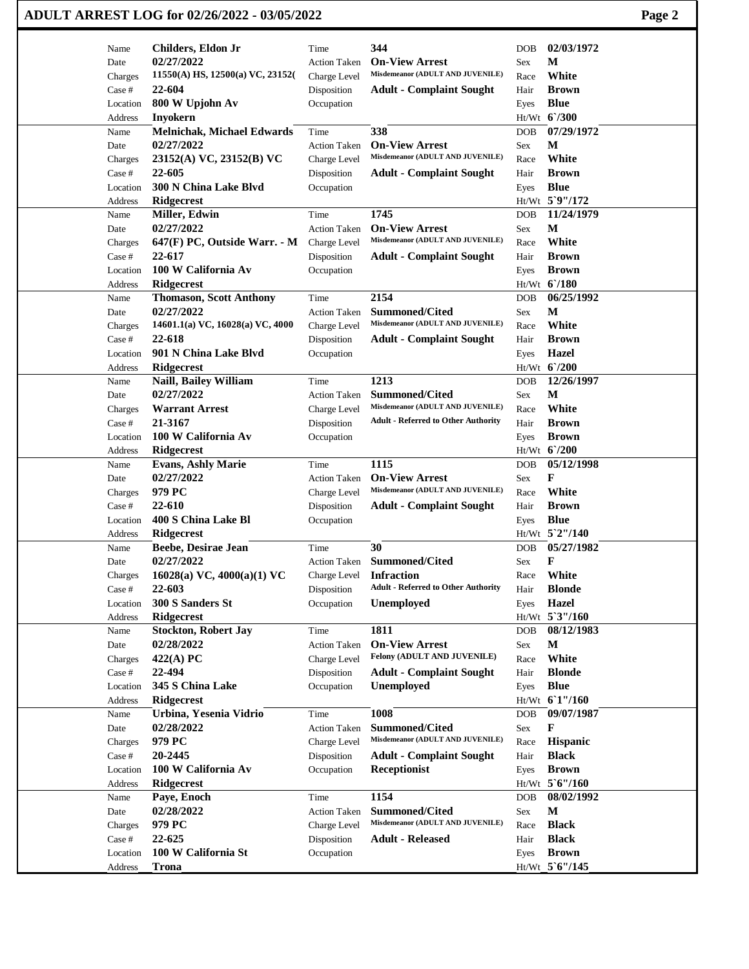|                    | ADULT ARREST LOG for 02/26/2022 - 03/05/2022 |                           |                                                           |            |                              |  |  |  |
|--------------------|----------------------------------------------|---------------------------|-----------------------------------------------------------|------------|------------------------------|--|--|--|
| Name               | Childers, Eldon Jr                           | Time                      | 344                                                       | <b>DOB</b> | 02/03/1972                   |  |  |  |
| Date               | 02/27/2022                                   | <b>Action Taken</b>       | <b>On-View Arrest</b>                                     | Sex        | M                            |  |  |  |
| Charges            | 11550(A) HS, 12500(a) VC, 23152(             | Charge Level              | Misdemeanor (ADULT AND JUVENILE)                          | Race       | White                        |  |  |  |
| Case #             | 22-604                                       | Disposition               | <b>Adult - Complaint Sought</b>                           | Hair       | <b>Brown</b>                 |  |  |  |
| Location           | 800 W Upjohn Av                              | Occupation                |                                                           | Eyes       | <b>Blue</b>                  |  |  |  |
| Address            | Inyokern                                     |                           |                                                           |            | Ht/Wt 6'/300                 |  |  |  |
| Name               | <b>Melnichak, Michael Edwards</b>            | Time                      | 338                                                       | <b>DOB</b> | 07/29/1972                   |  |  |  |
| Date               | 02/27/2022                                   | <b>Action Taken</b>       | <b>On-View Arrest</b><br>Misdemeanor (ADULT AND JUVENILE) | Sex        | М                            |  |  |  |
| Charges            | 23152(A) VC, 23152(B) VC                     | Charge Level              |                                                           | Race       | White                        |  |  |  |
| Case #<br>Location | 22-605<br>300 N China Lake Blvd              | Disposition<br>Occupation | <b>Adult - Complaint Sought</b>                           | Hair       | <b>Brown</b><br><b>Blue</b>  |  |  |  |
| Address            | Ridgecrest                                   |                           |                                                           | Eyes       | Ht/Wt 5`9"/172               |  |  |  |
| Name               | Miller, Edwin                                | Time                      | 1745                                                      | <b>DOB</b> | 11/24/1979                   |  |  |  |
| Date               | 02/27/2022                                   | <b>Action Taken</b>       | <b>On-View Arrest</b>                                     | Sex        | M                            |  |  |  |
| Charges            | 647(F) PC, Outside Warr. - M                 | Charge Level              | Misdemeanor (ADULT AND JUVENILE)                          | Race       | White                        |  |  |  |
| Case #             | 22-617                                       | Disposition               | <b>Adult - Complaint Sought</b>                           | Hair       | <b>Brown</b>                 |  |  |  |
| Location           | 100 W California Av                          | Occupation                |                                                           | Eyes       | <b>Brown</b>                 |  |  |  |
| Address            | Ridgecrest                                   |                           |                                                           |            | Ht/Wt 6/180                  |  |  |  |
| Name               | <b>Thomason, Scott Anthony</b>               | Time                      | 2154                                                      | <b>DOB</b> | 06/25/1992                   |  |  |  |
| Date               | 02/27/2022                                   | <b>Action Taken</b>       | <b>Summoned/Cited</b>                                     | Sex        | M                            |  |  |  |
| Charges            | 14601.1(a) VC, 16028(a) VC, 4000             | Charge Level              | Misdemeanor (ADULT AND JUVENILE)                          | Race       | White                        |  |  |  |
| Case #             | 22-618                                       | Disposition               | <b>Adult - Complaint Sought</b>                           | Hair       | <b>Brown</b>                 |  |  |  |
| Location           | 901 N China Lake Blvd                        | Occupation                |                                                           | Eyes       | <b>Hazel</b>                 |  |  |  |
| Address            | <b>Ridgecrest</b>                            |                           |                                                           |            | Ht/Wt 6'/200                 |  |  |  |
| Name               | Naill, Bailey William                        | Time                      | 1213                                                      | <b>DOB</b> | 12/26/1997                   |  |  |  |
| Date               | 02/27/2022                                   | <b>Action Taken</b>       | <b>Summoned/Cited</b>                                     | Sex        | М                            |  |  |  |
| Charges            | <b>Warrant Arrest</b>                        | Charge Level              | Misdemeanor (ADULT AND JUVENILE)                          | Race       | White                        |  |  |  |
| Case #             | 21-3167                                      | Disposition               | <b>Adult - Referred to Other Authority</b>                | Hair       | <b>Brown</b>                 |  |  |  |
| Location           | 100 W California Av                          | Occupation                |                                                           | Eyes       | <b>Brown</b><br>Ht/Wt 6'/200 |  |  |  |
| Address<br>Name    | Ridgecrest<br><b>Evans, Ashly Marie</b>      | Time                      | 1115                                                      | <b>DOB</b> | 05/12/1998                   |  |  |  |
| Date               | 02/27/2022                                   | <b>Action Taken</b>       | <b>On-View Arrest</b>                                     | Sex        | F                            |  |  |  |
| Charges            | 979 PC                                       | Charge Level              | Misdemeanor (ADULT AND JUVENILE)                          | Race       | White                        |  |  |  |
| Case #             | 22-610                                       | Disposition               | <b>Adult - Complaint Sought</b>                           | Hair       | <b>Brown</b>                 |  |  |  |
| Location           | 400 S China Lake Bl                          | Occupation                |                                                           | Eyes       | <b>Blue</b>                  |  |  |  |
| Address            | Ridgecrest                                   |                           |                                                           |            | Ht/Wt 5`2"/140               |  |  |  |
| Name               | Beebe, Desirae Jean                          | Time                      | 30                                                        | DOB        | 05/27/1982                   |  |  |  |
| Date               | 02/27/2022                                   | <b>Action Taken</b>       | <b>Summoned/Cited</b>                                     | Sex        | F                            |  |  |  |
| Charges            | 16028(a) VC, $4000(a)(1)$ VC                 | Charge Level              | <b>Infraction</b>                                         | Race       | White                        |  |  |  |
| Case #             | 22-603                                       | Disposition               | <b>Adult - Referred to Other Authority</b>                | Hair       | <b>Blonde</b>                |  |  |  |
| Location           | 300 S Sanders St                             | Occupation                | <b>Unemployed</b>                                         | Eyes       | <b>Hazel</b>                 |  |  |  |
| Address            | <b>Ridgecrest</b>                            |                           |                                                           |            | Ht/Wt 5'3"/160               |  |  |  |
| Name               | <b>Stockton, Robert Jay</b>                  | Time                      | 1811                                                      | <b>DOB</b> | 08/12/1983                   |  |  |  |
| Date               | 02/28/2022                                   | <b>Action Taken</b>       | <b>On-View Arrest</b>                                     | Sex        | M                            |  |  |  |
| Charges            | 422(A) PC                                    | Charge Level              | Felony (ADULT AND JUVENILE)                               | Race       | White                        |  |  |  |
| Case #             | 22-494                                       | Disposition               | <b>Adult - Complaint Sought</b>                           | Hair       | <b>Blonde</b>                |  |  |  |
| Location           | 345 S China Lake                             | Occupation                | <b>Unemployed</b>                                         | Eyes       | <b>Blue</b>                  |  |  |  |
| Address<br>Name    | Ridgecrest<br>Urbina, Yesenia Vidrio         | Time                      | 1008                                                      | <b>DOB</b> | Ht/Wt 61"/160<br>09/07/1987  |  |  |  |
| Date               | 02/28/2022                                   | <b>Action Taken</b>       | <b>Summoned/Cited</b>                                     | Sex        | F                            |  |  |  |
| Charges            | 979 PC                                       | Charge Level              | Misdemeanor (ADULT AND JUVENILE)                          | Race       | Hispanic                     |  |  |  |
| Case #             | 20-2445                                      | Disposition               | <b>Adult - Complaint Sought</b>                           | Hair       | <b>Black</b>                 |  |  |  |
| Location           | 100 W California Av                          | Occupation                | Receptionist                                              | Eyes       | <b>Brown</b>                 |  |  |  |
| Address            | <b>Ridgecrest</b>                            |                           |                                                           |            | $Ht/Wt$ 5 6"/160             |  |  |  |
| Name               | Paye, Enoch                                  | Time                      | 1154                                                      | <b>DOB</b> | 08/02/1992                   |  |  |  |
| Date               | 02/28/2022                                   | <b>Action Taken</b>       | <b>Summoned/Cited</b>                                     | Sex        | M                            |  |  |  |
| Charges            | 979 PC                                       | Charge Level              | Misdemeanor (ADULT AND JUVENILE)                          | Race       | <b>Black</b>                 |  |  |  |
| Case #             | 22-625                                       | Disposition               | <b>Adult - Released</b>                                   | Hair       | <b>Black</b>                 |  |  |  |
| Location           | 100 W California St                          | Occupation                |                                                           | Eyes       | <b>Brown</b>                 |  |  |  |
| Address            | <b>Trona</b>                                 |                           |                                                           |            | Ht/Wt 5'6"/145               |  |  |  |
|                    |                                              |                           |                                                           |            |                              |  |  |  |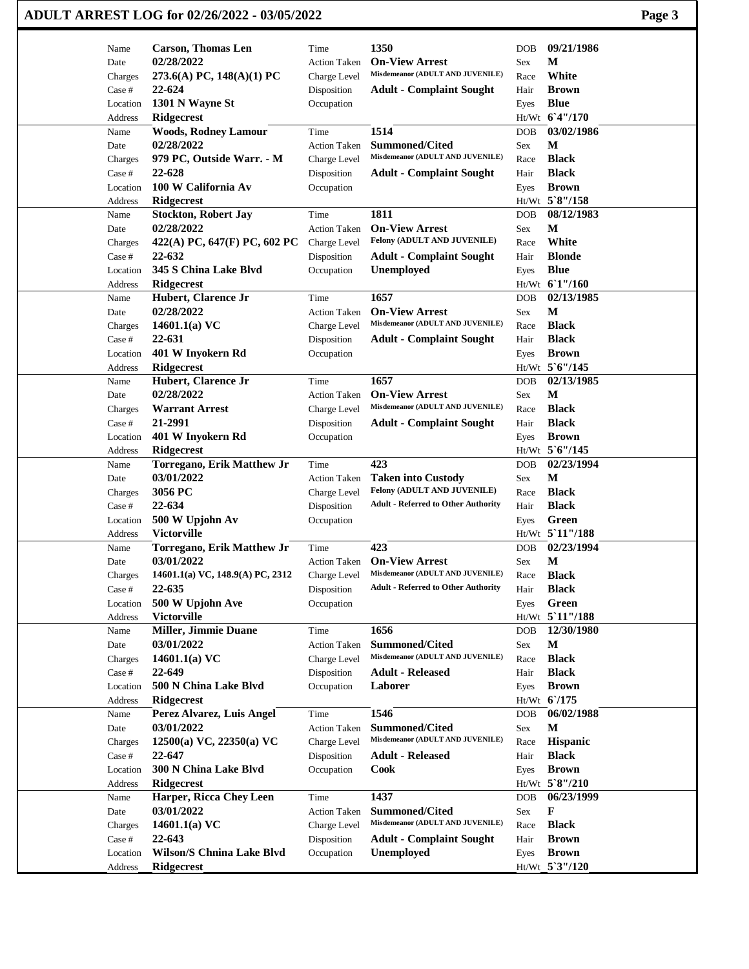| ADULT ARREST LOG for 02/26/2022 - 03/05/2022 |                                         |                             |                                                           |              |                                |  |  |
|----------------------------------------------|-----------------------------------------|-----------------------------|-----------------------------------------------------------|--------------|--------------------------------|--|--|
| Name                                         | <b>Carson, Thomas Len</b>               | Time                        | 1350                                                      | DOB          | 09/21/1986                     |  |  |
| Date                                         | 02/28/2022                              | <b>Action Taken</b>         | <b>On-View Arrest</b>                                     | Sex          | М                              |  |  |
| Charges                                      | 273.6(A) PC, 148(A)(1) PC               | Charge Level                | Misdemeanor (ADULT AND JUVENILE)                          | Race         | White                          |  |  |
| Case #                                       | 22-624                                  | Disposition                 | <b>Adult - Complaint Sought</b>                           | Hair         | <b>Brown</b>                   |  |  |
| Location                                     | 1301 N Wayne St                         | Occupation                  |                                                           | Eyes         | <b>Blue</b>                    |  |  |
| Address                                      | <b>Ridgecrest</b>                       |                             |                                                           |              | Ht/Wt 6'4"/170                 |  |  |
| Name                                         | <b>Woods, Rodney Lamour</b>             | Time                        | 1514                                                      | <b>DOB</b>   | 03/02/1986                     |  |  |
| Date                                         | 02/28/2022                              | <b>Action Taken</b>         | <b>Summoned/Cited</b><br>Misdemeanor (ADULT AND JUVENILE) | Sex          | М<br><b>Black</b>              |  |  |
| Charges<br>Case #                            | 979 PC, Outside Warr. - M<br>22-628     | Charge Level<br>Disposition | <b>Adult - Complaint Sought</b>                           | Race<br>Hair | <b>Black</b>                   |  |  |
| Location                                     | 100 W California Av                     | Occupation                  |                                                           | Eyes         | <b>Brown</b>                   |  |  |
| Address                                      | <b>Ridgecrest</b>                       |                             |                                                           |              | Ht/Wt 5`8"/158                 |  |  |
| Name                                         | <b>Stockton, Robert Jay</b>             | Time                        | 1811                                                      | DOB          | 08/12/1983                     |  |  |
| Date                                         | 02/28/2022                              | <b>Action Taken</b>         | <b>On-View Arrest</b>                                     | Sex          | М                              |  |  |
| Charges                                      | 422(A) PC, 647(F) PC, 602 PC            | Charge Level                | Felony (ADULT AND JUVENILE)                               | Race         | White                          |  |  |
| Case #                                       | 22-632                                  | Disposition                 | <b>Adult - Complaint Sought</b>                           | Hair         | <b>Blonde</b>                  |  |  |
| Location                                     | 345 S China Lake Blvd                   | Occupation                  | <b>Unemployed</b>                                         | Eyes         | <b>Blue</b>                    |  |  |
| Address                                      | <b>Ridgecrest</b>                       |                             |                                                           |              | Ht/Wt 61"/160                  |  |  |
| Name                                         | Hubert, Clarence Jr                     | Time                        | 1657                                                      | <b>DOB</b>   | 02/13/1985                     |  |  |
| Date                                         | 02/28/2022                              | <b>Action Taken</b>         | <b>On-View Arrest</b>                                     | Sex          | M                              |  |  |
| Charges                                      | 14601.1(a) $VC$                         | Charge Level                | Misdemeanor (ADULT AND JUVENILE)                          | Race         | <b>Black</b>                   |  |  |
| Case #                                       | 22-631                                  | Disposition                 | <b>Adult - Complaint Sought</b>                           | Hair         | <b>Black</b>                   |  |  |
| Location                                     | 401 W Inyokern Rd                       | Occupation                  |                                                           | Eyes         | <b>Brown</b>                   |  |  |
| Address                                      | <b>Ridgecrest</b>                       |                             |                                                           |              | Ht/Wt 5'6"/145                 |  |  |
| Name                                         | Hubert, Clarence Jr                     | Time                        | 1657                                                      | <b>DOB</b>   | 02/13/1985                     |  |  |
| Date                                         | 02/28/2022                              | <b>Action Taken</b>         | <b>On-View Arrest</b><br>Misdemeanor (ADULT AND JUVENILE) | Sex          | М                              |  |  |
| Charges                                      | <b>Warrant Arrest</b>                   | Charge Level                |                                                           | Race         | <b>Black</b>                   |  |  |
| Case #                                       | 21-2991                                 | Disposition                 | <b>Adult - Complaint Sought</b>                           | Hair         | <b>Black</b>                   |  |  |
| Location<br>Address                          | 401 W Inyokern Rd<br><b>Ridgecrest</b>  | Occupation                  |                                                           | Eyes         | <b>Brown</b><br>Ht/Wt 5'6"/145 |  |  |
| Name                                         | Torregano, Erik Matthew Jr              | Time                        | 423                                                       | DOB          | 02/23/1994                     |  |  |
| Date                                         | 03/01/2022                              | <b>Action Taken</b>         | <b>Taken into Custody</b>                                 | Sex          | М                              |  |  |
| Charges                                      | 3056 PC                                 | Charge Level                | Felony (ADULT AND JUVENILE)                               | Race         | <b>Black</b>                   |  |  |
| Case #                                       | 22-634                                  | Disposition                 | <b>Adult - Referred to Other Authority</b>                | Hair         | <b>Black</b>                   |  |  |
| Location                                     | 500 W Upjohn Av                         | Occupation                  |                                                           | Eyes         | Green                          |  |  |
| Address                                      | <b>Victorville</b>                      |                             |                                                           |              | Ht/Wt 5 11"/188                |  |  |
| Name                                         | <b>Torregano, Erik Matthew Jr</b>       | Time                        | 423                                                       | DOB.         | 02/23/1994                     |  |  |
| Date                                         | 03/01/2022                              | <b>Action Taken</b>         | <b>On-View Arrest</b>                                     | Sex          | $\mathbf M$                    |  |  |
| Charges                                      | 14601.1(a) VC, 148.9(A) PC, 2312        | Charge Level                | Misdemeanor (ADULT AND JUVENILE)                          | Race         | <b>Black</b>                   |  |  |
| Case #                                       | 22-635                                  | Disposition                 | <b>Adult - Referred to Other Authority</b>                | Hair         | <b>Black</b>                   |  |  |
| Location                                     | 500 W Upjohn Ave                        | Occupation                  |                                                           | Eyes         | Green                          |  |  |
| Address                                      | <b>Victorville</b>                      |                             |                                                           |              | Ht/Wt 5 11"/188                |  |  |
| Name                                         | Miller, Jimmie Duane                    | Time                        | 1656                                                      | <b>DOB</b>   | 12/30/1980                     |  |  |
| Date                                         | 03/01/2022                              | <b>Action Taken</b>         | Summoned/Cited                                            | Sex          | M                              |  |  |
| Charges                                      | 14601.1(a) $VC$                         | Charge Level                | Misdemeanor (ADULT AND JUVENILE)                          | Race         | <b>Black</b>                   |  |  |
| Case #                                       | 22-649                                  | Disposition                 | <b>Adult - Released</b>                                   | Hair         | <b>Black</b>                   |  |  |
| Location                                     | 500 N China Lake Blvd                   | Occupation                  | Laborer                                                   | Eyes         | <b>Brown</b><br>$Ht/Wt$ 6/175  |  |  |
| Address                                      | Ridgecrest                              | Time                        | 1546                                                      | DOB          | 06/02/1988                     |  |  |
| Name<br>Date                                 | Perez Alvarez, Luis Angel<br>03/01/2022 | <b>Action Taken</b>         | <b>Summoned/Cited</b>                                     | Sex          | M                              |  |  |
| Charges                                      | $12500(a)$ VC, $22350(a)$ VC            | Charge Level                | Misdemeanor (ADULT AND JUVENILE)                          | Race         | Hispanic                       |  |  |
| Case #                                       | 22-647                                  | Disposition                 | <b>Adult - Released</b>                                   | Hair         | <b>Black</b>                   |  |  |
| Location                                     | 300 N China Lake Blvd                   | Occupation                  | Cook                                                      | Eyes         | <b>Brown</b>                   |  |  |
| Address                                      | <b>Ridgecrest</b>                       |                             |                                                           |              | Ht/Wt 5`8"/210                 |  |  |
| Name                                         | Harper, Ricca Chey Leen                 | Time                        | 1437                                                      | DOB          | 06/23/1999                     |  |  |
| Date                                         | 03/01/2022                              | <b>Action Taken</b>         | <b>Summoned/Cited</b>                                     | Sex          | F                              |  |  |
| Charges                                      | 14601.1(a) $VC$                         | Charge Level                | Misdemeanor (ADULT AND JUVENILE)                          | Race         | <b>Black</b>                   |  |  |
| Case #                                       | 22-643                                  | Disposition                 | <b>Adult - Complaint Sought</b>                           | Hair         | <b>Brown</b>                   |  |  |
| Location                                     | <b>Wilson/S Chnina Lake Blvd</b>        | Occupation                  | Unemployed                                                | Eyes         | <b>Brown</b>                   |  |  |
| Address                                      | Ridgecrest                              |                             |                                                           |              | Ht/Wt 5'3"/120                 |  |  |
|                                              |                                         |                             |                                                           |              |                                |  |  |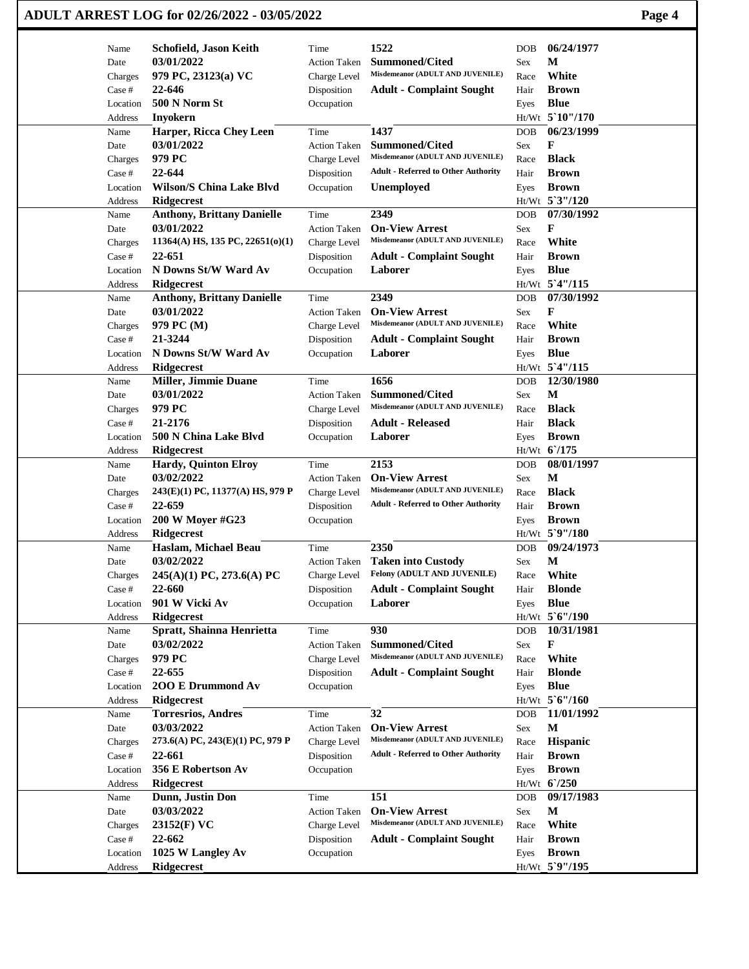|                   | ADULT ARREST LOG for 02/26/2022 - 03/05/2022           |                           |                                                           |            |                               | Page 4 |
|-------------------|--------------------------------------------------------|---------------------------|-----------------------------------------------------------|------------|-------------------------------|--------|
| Name              | Schofield, Jason Keith                                 | Time                      | 1522                                                      | <b>DOB</b> | 06/24/1977                    |        |
| Date              | 03/01/2022                                             | <b>Action Taken</b>       | <b>Summoned/Cited</b>                                     | Sex        | М                             |        |
| Charges           | 979 PC, 23123(a) VC                                    | Charge Level              | Misdemeanor (ADULT AND JUVENILE)                          | Race       | White                         |        |
| Case #            | 22-646                                                 | Disposition               | <b>Adult - Complaint Sought</b>                           | Hair       | <b>Brown</b>                  |        |
| Location          | 500 N Norm St                                          | Occupation                |                                                           | Eyes       | <b>Blue</b>                   |        |
| Address           | <b>Inyokern</b>                                        |                           |                                                           |            | Ht/Wt 5`10"/170               |        |
| Name              | Harper, Ricca Chey Leen                                | Time                      | 1437                                                      | <b>DOB</b> | 06/23/1999                    |        |
| Date              | 03/01/2022                                             | <b>Action Taken</b>       | <b>Summoned/Cited</b>                                     | Sex        | F                             |        |
| Charges           | 979 PC                                                 | Charge Level              | Misdemeanor (ADULT AND JUVENILE)                          | Race       | <b>Black</b>                  |        |
| Case #            | 22-644                                                 | Disposition               | <b>Adult - Referred to Other Authority</b>                | Hair       | <b>Brown</b>                  |        |
| Location          | <b>Wilson/S China Lake Blvd</b>                        | Occupation                | <b>Unemployed</b>                                         | Eyes       | <b>Brown</b>                  |        |
| Address           | <b>Ridgecrest</b>                                      |                           |                                                           |            | Ht/Wt 5'3"/120                |        |
| Name              | <b>Anthony, Brittany Danielle</b>                      | Time                      | 2349                                                      | DOB        | 07/30/1992                    |        |
| Date              | 03/01/2022<br>$11364(A)$ HS, 135 PC, 22651(0)(1)       | <b>Action Taken</b>       | <b>On-View Arrest</b><br>Misdemeanor (ADULT AND JUVENILE) | Sex        | F<br>White                    |        |
| Charges<br>Case # | 22-651                                                 | Charge Level              |                                                           | Race       | <b>Brown</b>                  |        |
| Location          | N Downs St/W Ward Av                                   | Disposition<br>Occupation | <b>Adult - Complaint Sought</b><br>Laborer                | Hair       | <b>Blue</b>                   |        |
| <b>Address</b>    |                                                        |                           |                                                           | Eyes       | Ht/Wt 5'4"/115                |        |
| Name              | <b>Ridgecrest</b><br><b>Anthony, Brittany Danielle</b> | Time                      | 2349                                                      | <b>DOB</b> | 07/30/1992                    |        |
| Date              | 03/01/2022                                             | <b>Action Taken</b>       | <b>On-View Arrest</b>                                     | Sex        | F                             |        |
| Charges           | 979 PC (M)                                             | Charge Level              | Misdemeanor (ADULT AND JUVENILE)                          | Race       | White                         |        |
| Case #            | 21-3244                                                | Disposition               | <b>Adult - Complaint Sought</b>                           | Hair       | <b>Brown</b>                  |        |
| Location          | N Downs St/W Ward Av                                   | Occupation                | Laborer                                                   | Eyes       | <b>Blue</b>                   |        |
| Address           | <b>Ridgecrest</b>                                      |                           |                                                           |            | Ht/Wt 5'4"/115                |        |
| Name              | Miller, Jimmie Duane                                   | Time                      | 1656                                                      | <b>DOB</b> | 12/30/1980                    |        |
| Date              | 03/01/2022                                             | <b>Action Taken</b>       | <b>Summoned/Cited</b>                                     | Sex        | М                             |        |
| Charges           | 979 PC                                                 | Charge Level              | Misdemeanor (ADULT AND JUVENILE)                          | Race       | <b>Black</b>                  |        |
| Case #            | 21-2176                                                | Disposition               | <b>Adult - Released</b>                                   | Hair       | <b>Black</b>                  |        |
| Location          | 500 N China Lake Blvd                                  | Occupation                | Laborer                                                   | Eyes       | <b>Brown</b>                  |        |
| Address           | <b>Ridgecrest</b>                                      |                           |                                                           |            | Ht/Wt 6/175                   |        |
| Name              | <b>Hardy, Quinton Elroy</b>                            | Time                      | 2153                                                      | <b>DOB</b> | 08/01/1997                    |        |
| Date              | 03/02/2022                                             | <b>Action Taken</b>       | <b>On-View Arrest</b>                                     | Sex        | М                             |        |
| Charges           | 243(E)(1) PC, 11377(A) HS, 979 P                       | Charge Level              | Misdemeanor (ADULT AND JUVENILE)                          | Race       | <b>Black</b>                  |        |
| Case #            | 22-659                                                 | Disposition               | <b>Adult - Referred to Other Authority</b>                | Hair       | <b>Brown</b>                  |        |
| Location          | 200 W Moyer #G23                                       | Occupation                |                                                           | Eyes       | <b>Brown</b>                  |        |
| Address           | <b>Ridgecrest</b>                                      |                           |                                                           |            | Ht/Wt 5`9"/180                |        |
| Name              | Haslam, Michael Beau                                   | Time                      | 2350                                                      | DOB        | 09/24/1973                    |        |
| Date              | 03/02/2022                                             | <b>Action Taken</b>       | <b>Taken into Custody</b>                                 | Sex        | $\mathbf M$                   |        |
| Charges           | 245(A)(1) PC, 273.6(A) PC                              | Charge Level              | Felony (ADULT AND JUVENILE)                               | Race       | White                         |        |
| Case #            | 22-660                                                 | Disposition               | <b>Adult - Complaint Sought</b>                           | Hair       | <b>Blonde</b>                 |        |
| Location          | 901 W Vicki Av                                         | Occupation                | Laborer                                                   | Eyes       | <b>Blue</b><br>Ht/Wt 5'6"/190 |        |
| Address<br>Name   | <b>Ridgecrest</b><br>Spratt, Shainna Henrietta         | Time                      | 930                                                       | DOB        | 10/31/1981                    |        |
| Date              | 03/02/2022                                             | <b>Action Taken</b>       | Summoned/Cited                                            | Sex        | F                             |        |
| Charges           | 979 PC                                                 | Charge Level              | Misdemeanor (ADULT AND JUVENILE)                          | Race       | White                         |        |
| Case #            | 22-655                                                 | Disposition               | <b>Adult - Complaint Sought</b>                           | Hair       | <b>Blonde</b>                 |        |
| Location          | 200 E Drummond Av                                      | Occupation                |                                                           | Eyes       | <b>Blue</b>                   |        |
| Address           | Ridgecrest                                             |                           |                                                           |            | Ht/Wt 5'6"/160                |        |
| Name              | <b>Torresrios, Andres</b>                              | Time                      | 32                                                        | DOB        | 11/01/1992                    |        |
| Date              | 03/03/2022                                             | <b>Action Taken</b>       | <b>On-View Arrest</b>                                     | Sex        | $\mathbf M$                   |        |
| Charges           | 273.6(A) PC, 243(E)(1) PC, 979 P                       | Charge Level              | Misdemeanor (ADULT AND JUVENILE)                          | Race       | Hispanic                      |        |
| Case #            | 22-661                                                 | Disposition               | <b>Adult - Referred to Other Authority</b>                | Hair       | <b>Brown</b>                  |        |
| Location          | 356 E Robertson Av                                     | Occupation                |                                                           | Eyes       | <b>Brown</b>                  |        |
| Address           | <b>Ridgecrest</b>                                      |                           |                                                           |            | $Ht/Wt$ 6/250                 |        |
| Name              | Dunn, Justin Don                                       | Time                      | 151                                                       | DOB        | 09/17/1983                    |        |
| Date              | 03/03/2022                                             | <b>Action Taken</b>       | <b>On-View Arrest</b>                                     | Sex        | $\mathbf M$                   |        |
| Charges           | 23152(F) VC                                            | Charge Level              | Misdemeanor (ADULT AND JUVENILE)                          | Race       | White                         |        |
| Case #            | 22-662                                                 | Disposition               | <b>Adult - Complaint Sought</b>                           | Hair       | <b>Brown</b>                  |        |
| Location          | 1025 W Langley Av                                      | Occupation                |                                                           | Eyes       | <b>Brown</b>                  |        |
| Address           | <b>Ridgecrest</b>                                      |                           |                                                           |            | Ht/Wt_5`9"/195                |        |
|                   |                                                        |                           |                                                           |            |                               |        |

 $\mathbf{I}$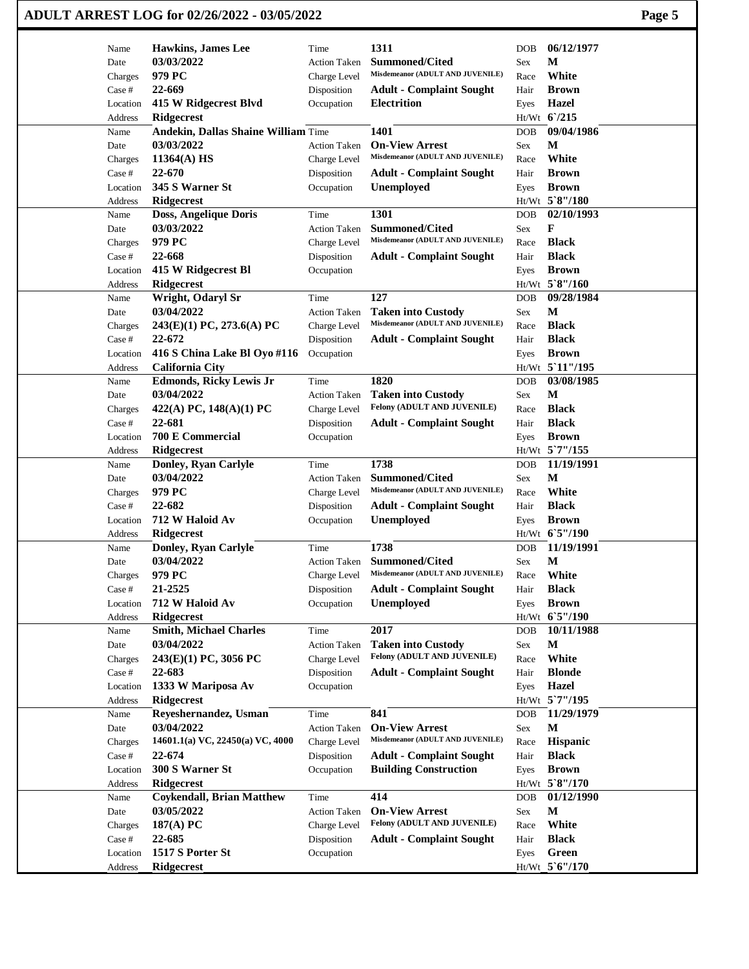|                    | ADULT ARREST LOG for 02/26/2022 - 03/05/2022 |                           |                                                           |      |                 |  |  |  |
|--------------------|----------------------------------------------|---------------------------|-----------------------------------------------------------|------|-----------------|--|--|--|
| Name               | <b>Hawkins, James Lee</b>                    | Time                      | 1311                                                      | DOB  | 06/12/1977      |  |  |  |
| Date               | 03/03/2022                                   | <b>Action Taken</b>       | <b>Summoned/Cited</b>                                     | Sex  | М               |  |  |  |
| Charges            | 979 PC                                       | Charge Level              | Misdemeanor (ADULT AND JUVENILE)                          | Race | White           |  |  |  |
| Case #             | 22-669                                       | Disposition               | <b>Adult - Complaint Sought</b>                           | Hair | <b>Brown</b>    |  |  |  |
| Location           | 415 W Ridgecrest Blvd                        | Occupation                | <b>Electrition</b>                                        | Eyes | <b>Hazel</b>    |  |  |  |
| Address            | Ridgecrest                                   |                           |                                                           |      | Ht/Wt 6/215     |  |  |  |
| Name               | <b>Andekin, Dallas Shaine William Time</b>   |                           | 1401                                                      | DOB  | 09/04/1986      |  |  |  |
| Date               | 03/03/2022                                   | <b>Action Taken</b>       | <b>On-View Arrest</b>                                     | Sex  | М               |  |  |  |
| Charges            | $11364(A)$ HS                                | Charge Level              | Misdemeanor (ADULT AND JUVENILE)                          | Race | White           |  |  |  |
| Case #             | 22-670                                       | Disposition               | <b>Adult - Complaint Sought</b>                           | Hair | <b>Brown</b>    |  |  |  |
| Location           | 345 S Warner St                              | Occupation                | Unemployed                                                | Eyes | <b>Brown</b>    |  |  |  |
| Address            | <b>Ridgecrest</b>                            |                           |                                                           |      | Ht/Wt 5`8"/180  |  |  |  |
| Name               | Doss, Angelique Doris                        | Time                      | 1301                                                      | DOB  | 02/10/1993      |  |  |  |
| Date               | 03/03/2022                                   | <b>Action Taken</b>       | <b>Summoned/Cited</b>                                     | Sex  | F               |  |  |  |
| Charges            | 979 PC                                       | Charge Level              | Misdemeanor (ADULT AND JUVENILE)                          | Race | <b>Black</b>    |  |  |  |
| Case #             | 22-668                                       | Disposition               | <b>Adult - Complaint Sought</b>                           | Hair | <b>Black</b>    |  |  |  |
| Location           | 415 W Ridgecrest Bl                          | Occupation                |                                                           | Eyes | <b>Brown</b>    |  |  |  |
| Address            | <b>Ridgecrest</b>                            |                           |                                                           |      | Ht/Wt 5`8"/160  |  |  |  |
| Name               | Wright, Odaryl Sr                            | Time                      | 127                                                       | DOB  | 09/28/1984      |  |  |  |
| Date               | 03/04/2022                                   | <b>Action Taken</b>       | <b>Taken into Custody</b>                                 | Sex  | M               |  |  |  |
| Charges            | 243(E)(1) PC, 273.6(A) PC                    | Charge Level              | Misdemeanor (ADULT AND JUVENILE)                          | Race | <b>Black</b>    |  |  |  |
| Case #             | 22-672                                       | Disposition               | <b>Adult - Complaint Sought</b>                           | Hair | <b>Black</b>    |  |  |  |
| Location           | 416 S China Lake Bl Oyo #116                 | Occupation                |                                                           | Eyes | <b>Brown</b>    |  |  |  |
| Address            | <b>California City</b>                       |                           |                                                           |      | Ht/Wt 5'11"/195 |  |  |  |
| Name               | <b>Edmonds, Ricky Lewis Jr</b>               | Time                      | 1820                                                      | DOB  | 03/08/1985      |  |  |  |
| Date               | 03/04/2022                                   | <b>Action Taken</b>       | <b>Taken into Custody</b>                                 | Sex  | M               |  |  |  |
| Charges            | 422(A) PC, $148(A)(1)$ PC                    | Charge Level              | Felony (ADULT AND JUVENILE)                               | Race | <b>Black</b>    |  |  |  |
| Case #             | 22-681                                       | Disposition               | <b>Adult - Complaint Sought</b>                           | Hair | <b>Black</b>    |  |  |  |
| Location           | 700 E Commercial                             | Occupation                |                                                           | Eyes | <b>Brown</b>    |  |  |  |
| Address            | <b>Ridgecrest</b>                            |                           |                                                           |      | Ht/Wt 5`7"/155  |  |  |  |
| Name               | Donley, Ryan Carlyle                         | Time                      | 1738                                                      | DOB  | 11/19/1991<br>M |  |  |  |
| Date               | 03/04/2022<br>979 PC                         | <b>Action Taken</b>       | <b>Summoned/Cited</b><br>Misdemeanor (ADULT AND JUVENILE) | Sex  | White           |  |  |  |
| Charges            | 22-682                                       | Charge Level              | <b>Adult - Complaint Sought</b>                           | Race | <b>Black</b>    |  |  |  |
| Case #<br>Location | 712 W Haloid Av                              | Disposition<br>Occupation | Unemployed                                                | Hair | <b>Brown</b>    |  |  |  |
| Address            | Ridgecrest                                   |                           |                                                           | Eyes | Ht/Wt 6'5"/190  |  |  |  |
| Name               | Donley, Ryan Carlyle                         | Time                      | 1738                                                      | DOB  | 11/19/1991      |  |  |  |
| Date               | 03/04/2022                                   | <b>Action Taken</b>       | Summoned/Cited                                            | Sex  | $\mathbf M$     |  |  |  |
| Charges            | 979 PC                                       | Charge Level              | Misdemeanor (ADULT AND JUVENILE)                          | Race | White           |  |  |  |
| Case #             | 21-2525                                      | Disposition               | <b>Adult - Complaint Sought</b>                           | Hair | <b>Black</b>    |  |  |  |
| Location           | 712 W Haloid Av                              | Occupation                | <b>Unemployed</b>                                         | Eyes | <b>Brown</b>    |  |  |  |
| Address            | <b>Ridgecrest</b>                            |                           |                                                           |      | Ht/Wt 65"/190   |  |  |  |
| Name               | <b>Smith, Michael Charles</b>                | Time                      | 2017                                                      | DOB  | 10/11/1988      |  |  |  |
| Date               | 03/04/2022                                   | <b>Action Taken</b>       | <b>Taken into Custody</b>                                 | Sex  | $\mathbf M$     |  |  |  |
| Charges            | 243(E)(1) PC, 3056 PC                        | Charge Level              | Felony (ADULT AND JUVENILE)                               | Race | White           |  |  |  |
| Case #             | 22-683                                       | Disposition               | <b>Adult - Complaint Sought</b>                           | Hair | <b>Blonde</b>   |  |  |  |
| Location           | 1333 W Mariposa Av                           | Occupation                |                                                           | Eyes | Hazel           |  |  |  |
| Address            | <b>Ridgecrest</b>                            |                           |                                                           |      | Ht/Wt 5`7"/195  |  |  |  |
| Name               | Reyeshernandez, Usman                        | Time                      | 841                                                       | DOB  | 11/29/1979      |  |  |  |
| Date               | 03/04/2022                                   | <b>Action Taken</b>       | <b>On-View Arrest</b>                                     | Sex  | M               |  |  |  |
| Charges            | 14601.1(a) VC, 22450(a) VC, 4000             | Charge Level              | Misdemeanor (ADULT AND JUVENILE)                          | Race | Hispanic        |  |  |  |
| Case #             | 22-674                                       | Disposition               | <b>Adult - Complaint Sought</b>                           | Hair | <b>Black</b>    |  |  |  |
| Location           | 300 S Warner St                              | Occupation                | <b>Building Construction</b>                              | Eyes | <b>Brown</b>    |  |  |  |
| Address            | <b>Ridgecrest</b>                            |                           |                                                           |      | Ht/Wt 5`8"/170  |  |  |  |
| Name               | <b>Coykendall, Brian Matthew</b>             | Time                      | 414                                                       | DOB  | 01/12/1990      |  |  |  |
| Date               | 03/05/2022                                   | Action Taken              | <b>On-View Arrest</b>                                     | Sex  | M               |  |  |  |
| Charges            | 187(A) PC                                    | Charge Level              | Felony (ADULT AND JUVENILE)                               | Race | White           |  |  |  |
| Case #             | 22-685                                       | Disposition               | <b>Adult - Complaint Sought</b>                           | Hair | <b>Black</b>    |  |  |  |
| Location           | 1517 S Porter St                             | Occupation                |                                                           | Eyes | Green           |  |  |  |
| Address            | Ridgecrest                                   |                           |                                                           |      | Ht/Wt 5'6"/170  |  |  |  |